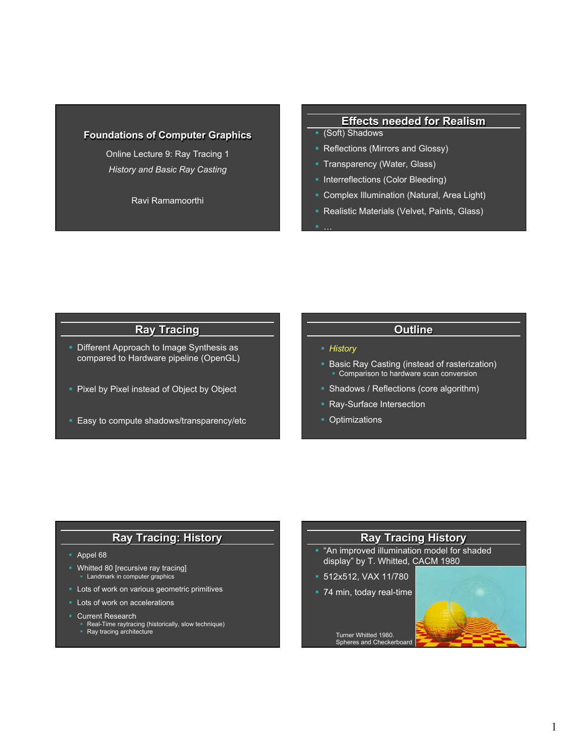#### **Foundations of Computer Graphics**

Online Lecture 9: Ray Tracing 1 *History and Basic Ray Casting* 

Ravi Ramamoorthi

#### **Effects needed for Realism**

- § (Soft) Shadows
- Reflections (Mirrors and Glossy)
- **Transparency (Water, Glass)**
- Interreflections (Color Bleeding)
- § Complex Illumination (Natural, Area Light)
- Realistic Materials (Velvet, Paints, Glass)

## **Ray Tracing**

- Different Approach to Image Synthesis as compared to Hardware pipeline (OpenGL)
- Pixel by Pixel instead of Object by Object
- Easy to compute shadows/transparency/etc

#### **Outline**

§ *History* 

§ …

- § Basic Ray Casting (instead of rasterization) ■ Comparison to hardware scan conversion
- § Shadows / Reflections (core algorithm)
- Ray-Surface Intersection
- **Optimizations**

#### **Ray Tracing: History**

- § Appel 68
- Whitted 80 [recursive ray tracing] Landmark in computer graphics
- **Lots of work on various geometric primitives**
- Lots of work on accelerations
- § Current Research
	- § Real-Time raytracing (historically, slow technique) § Ray tracing architecture
	-

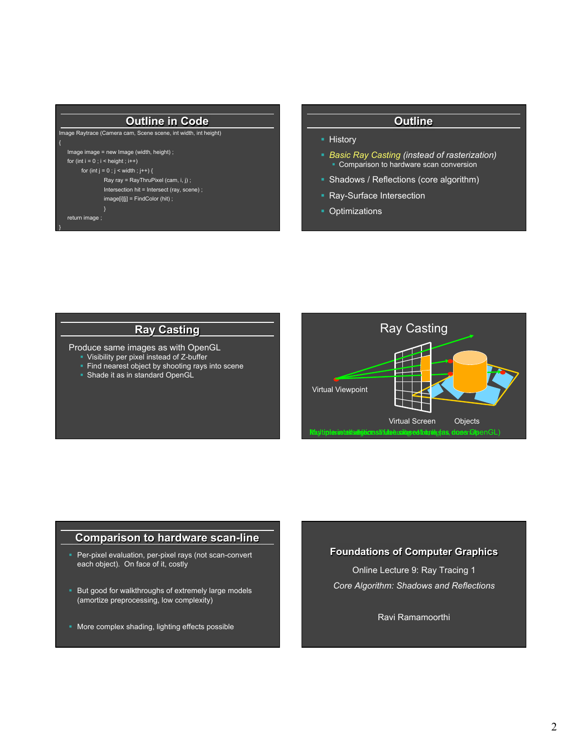#### **Outline in Code**

Image Raytrace (Camera cam, Scene scene, int width, int height) { Image image = new Image (width, height) ; for (int  $i = 0$ ;  $i <$  height;  $i+1$ ) for (int  $j = 0$  ;  $j <$  width ;  $j++)$  { Ray ray = RayThruPixel (cam, i, j) ; Intersection hit = Intersect (ray, scene) ; image[i][j] = FindColor (hit) ; } return image ; }

#### **Outline**

- History
- § *Basic Ray Casting (instead of rasterization)*  • Comparison to hardware scan conversion
- Shadows / Reflections (core algorithm)
- Ray-Surface Intersection
- Optimizations

## **Ray Casting**

Produce same images as with OpenGL

- § Visibility per pixel instead of Z-buffer
- Find nearest object by shooting rays into scene
- Shade it as in standard OpenGL



#### **Comparison to hardware scan-line**

- **Per-pixel evaluation, per-pixel rays (not scan-convert** each object). On face of it, costly
- But good for walkthroughs of extremely large models (amortize preprocessing, low complexity)
- More complex shading, lighting effects possible

#### **Foundations of Computer Graphics**

Online Lecture 9: Ray Tracing 1 *Core Algorithm: Shadows and Reflections* 

Ravi Ramamoorthi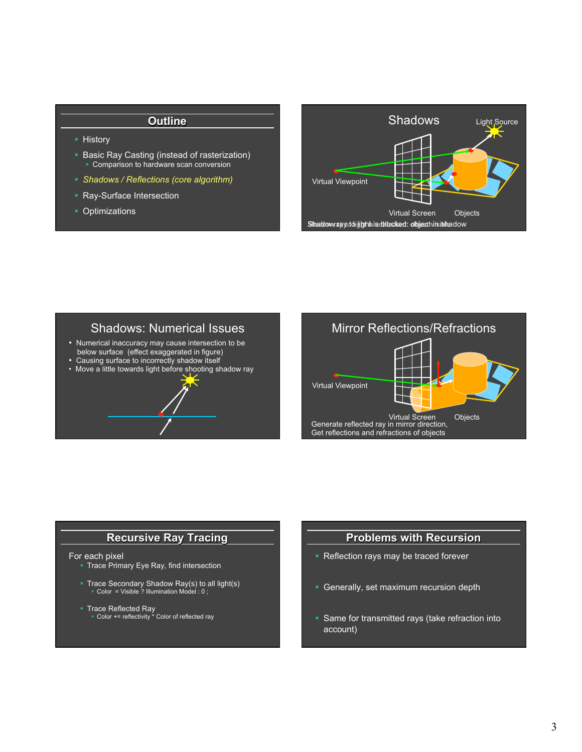#### **Outline**

- § History
- Basic Ray Casting (instead of rasterization) ■ Comparison to hardware scan conversion
- § *Shadows / Reflections (core algorithm)*
- Ray-Surface Intersection
- Optimizations



## Shadows: Numerical Issues

- % Numerical inaccuracy may cause intersection to be
- below surface (effect exaggerated in figure) % Causing surface to incorrectly shadow itself
- Move a little towards light before shooting shadow ray



## **Recursive Ray Tracing**

#### For each pixel

- § Trace Primary Eye Ray, find intersection
- Trace Secondary Shadow Ray(s) to all light(s)<br>
Color = Visible ? Illumination Model : 0 ;
- Trace Reflected Ray<br>■ Color += reflectivity \* Color of reflected ray

#### **Problems with Recursion**

- Reflection rays may be traced forever
- § Generally, set maximum recursion depth
- Same for transmitted rays (take refraction into account)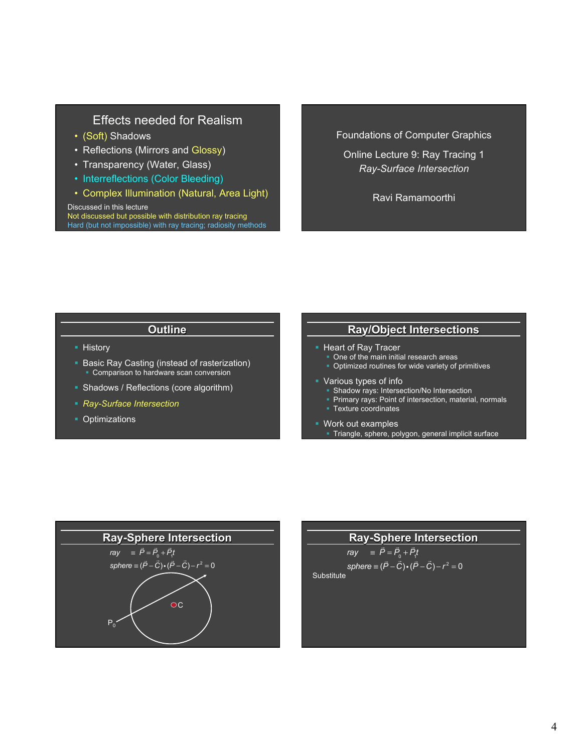## Effects needed for Realism

- (Soft) Shadows
- Reflections (Mirrors and Glossy)
- Transparency (Water, Glass)
- Interreflections (Color Bleeding)
- Complex Illumination (Natural, Area Light)

Discussed in this lecture Not discussed but possible with distribution ray tracing Hard (but not impossible) with ray tracing; radiosity methods

#### Foundations of Computer Graphics

Online Lecture 9: Ray Tracing 1 *Ray-Surface Intersection* 

Ravi Ramamoorthi

## **Outline**

- § History
- Basic Ray Casting (instead of rasterization) **• Comparison to hardware scan conversion**
- Shadows / Reflections (core algorithm)
- § *Ray-Surface Intersection*
- **Optimizations**

## **Ray/Object Intersections**

- **Heart of Ray Tracer** 
	- One of the main initial research areas
	- § Optimized routines for wide variety of primitives
- Various types of info
	- Shadow rays: Intersection/No Intersection
	- Primary rays: Point of intersection, material, normals
- Texture coordinates
- § Work out examples § Triangle, sphere, polygon, general implicit surface



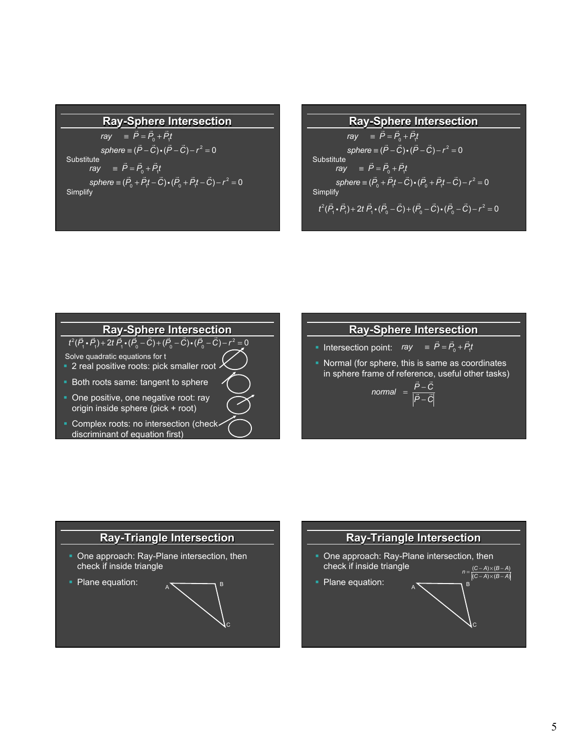#### **Ray-Sphere Intersection**

 $ray = \vec{P} = \vec{P}_0 + \vec{P}_1 t$  $sphere \equiv (\vec{P} - \vec{C}) \cdot (\vec{P} - \vec{C}) - r^2 = 0$ Substitute<br>ray *ray* <sup>≡</sup> *<sup>P</sup>* <sup>=</sup> *<sup>P</sup>*<sup>0</sup> <sup>+</sup> *P*1 *t*  $sphere = (\vec{P}_0 + \vec{P}_1 t - \vec{C}) \cdot (\vec{P}_0 + \vec{P}_1 t - \vec{C}) - r^2 = 0$ **Simplify** 

#### **Ray-Sphere Intersection**

 $ray = \vec{P} = \vec{P}_0 + \vec{P}_1 t$  $sphere \equiv (\vec{P} - \vec{C}) \cdot (\vec{P} - \vec{C}) - r^2 = 0$ Substitute<br>ray *ray* <sup>≡</sup> *<sup>P</sup>* <sup>=</sup> *<sup>P</sup>*<sup>0</sup> <sup>+</sup> *P*1 *t*  $sphere = (\vec{P}_0 + \vec{P}_1 t - \vec{C}) \cdot (\vec{P}_0 + \vec{P}_1 t - \vec{C}) - r^2 = 0$ **Simplify**  $t^2(\vec{P}_1 \cdot \vec{P}_1) + 2t \vec{P}_1 \cdot (\vec{P}_0 - \vec{C}) + (\vec{P}_0 - \vec{C}) \cdot (\vec{P}_0 - \vec{C}) - r^2 = 0$ 

## **Ray-Sphere Intersection**

 $\frac{1}{t^2(\vec{P}_1 \cdot \vec{P}_1) + 2t \vec{P}_1 \cdot (\vec{P}_0 - \vec{C}) + (\vec{P}_0 - \vec{C}) \cdot (\vec{P}_0 - \vec{C}) - r^2 = 0}$ 

- Solve quadratic equations for t • 2 real positive roots: pick smaller root
- Both roots same: tangent to sphere
- One positive, one negative root: ray origin inside sphere (pick + root)
- Complex roots: no intersection (checkdiscriminant of equation first)

### **Ray-Sphere Intersection**

- Intersection point:  $ray \equiv \vec{P} = \vec{P}_0 + \vec{P}_1 t$
- § Normal (for sphere, this is same as coordinates in sphere frame of reference, useful other tasks) *<sup>P</sup>* <sup>−</sup>

$$
normal = \frac{P - C}{|\vec{P} - \vec{C}|}
$$



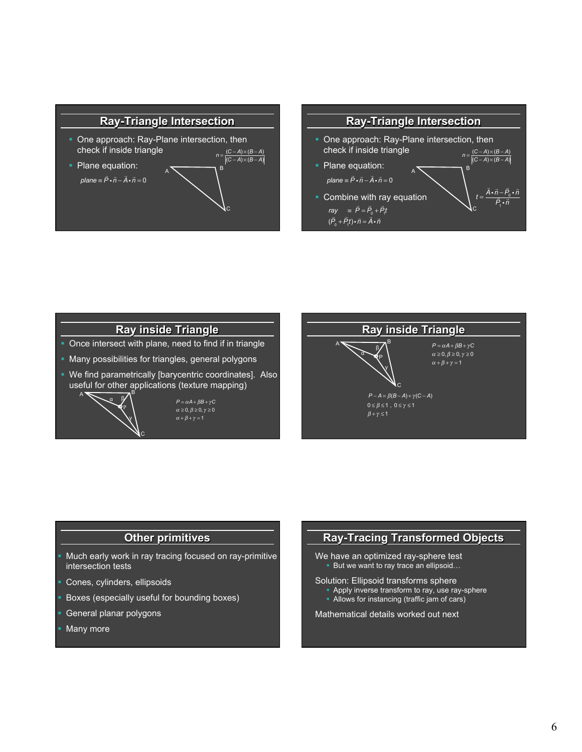



# **Ray inside Triangle**

- Once intersect with plane, need to find if in triangle
- § Many possibilities for triangles, general polygons
- § We find parametrically [barycentric coordinates]. Also useful for other applications (texture mapping)



 $P = \alpha A + \beta B + \gamma C$  $\alpha \geq 0, \beta \geq 0, \gamma \geq 0$ 



#### **Other primitives**

- § Much early work in ray tracing focused on ray-primitive intersection tests
- § Cones, cylinders, ellipsoids
- § Boxes (especially useful for bounding boxes)
- § General planar polygons
- Many more

## **Ray-Tracing Transformed Objects**

We have an optimized ray-sphere test But we want to ray trace an ellipsoid...

#### Solution: Ellipsoid transforms sphere

- Apply inverse transform to ray, use ray-sphere
- Allows for instancing (traffic jam of cars)

Mathematical details worked out next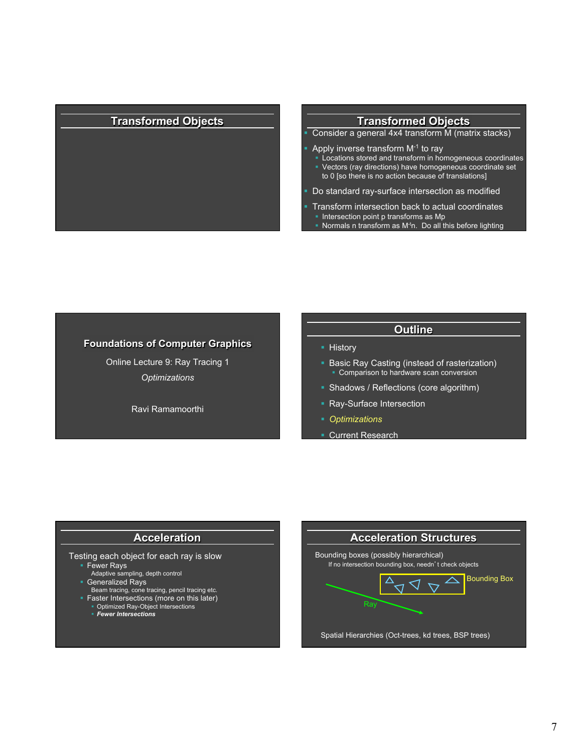## **Transformed Objects Transformed Objects**

- § Consider a general 4x4 transform M (matrix stacks)
- Apply inverse transform M-1 to ray
	- § Locations stored and transform in homogeneous coordinates
	- § Vectors (ray directions) have homogeneous coordinate set to 0 [so there is no action because of translations]
- Do standard ray-surface intersection as modified
- § Transform intersection back to actual coordinates • Intersection point p transforms as Mp
	- Normals n transform as  $M<sup>t</sup>n$ . Do all this before lighting

#### **Foundations of Computer Graphics**

Online Lecture 9: Ray Tracing 1 *Optimizations* 

Ravi Ramamoorthi

#### **Outline**

- History
- § Basic Ray Casting (instead of rasterization) ■ Comparison to hardware scan conversion
- § Shadows / Reflections (core algorithm)
- § Ray-Surface Intersection
- § *Optimizations*
- § Current Research

#### **Acceleration**

#### Testing each object for each ray is slow

- § Fewer Rays
- Adaptive sampling, depth control
- 
- § Generalized Rays Beam tracing, cone tracing, pencil tracing etc. • Faster Intersections (more on this later)
- - § Optimized Ray-Object Intersections § *Fewer Intersections*